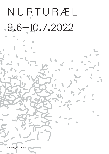# N U R T U R Æ L 9.6—10.7.2022

 $\overline{\phantom{0}}$ 

**Lothringer 13 Halle Lothringer 13 Halle**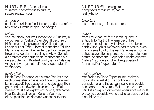### N U R TU RÆ L, Neologismus zusammengesetzt aus to nurture, nature, reality/fiction

### *to nurture*

auch: to nourish, to feed, to nurse: nähren, ernähren, stillen, füttern, hegen und pflegen.

### *nature*

von lateinisch "natura" für essentielle Qualität, in der Antike für "Geburt". Der Begriff beschreibt Phänomene der physischen Welt und das Leben auf der Erde. Obwohl Menschen Teil der Natur, aber nur ein kleinerTeil der Biomasse der Erde sind, werden menschliche Aktivitäten oft als getrennt von natürlichen Phänomenen aufgefasst. Je nach Kontext wird "natural" als das Gegenteil von "unnatural" oder "supernatural" verstanden.

## *reality / fiction*

Nach Elena Esposito ist die reale Realität notorisch unrealistisch. Sie ist kontingent: Jederzeit kann das Zufällige passieren und das eigentlich ganz und gar Unwahrscheinliche. Die Fiktion wiederum ist eine explizit erfundene, alternative Realität. Sie stellt eine möglicheWelt vor, die so plausibel ist, dass sie wahr sein könnte.

N U R TU RÆ L, neologism composed of to nurture, nature, reality/fiction

*to nurture* also: to nourish, to feed, to nurse

### *nature*

from Latin "natura" for essential quality, in antiquity for "birth". The term describes phenomena of the physical world and life on earth. Although humans are part of nature, even if only a small part of the earth's biomass, human activities are often understood as separate from natural phenomena. Depending on the context, "natural" is understood as the opposite of "unnatural" or "supernatural".

## *reality / fiction*

According to Elena Esposito, real reality is notionally unrealistic. It is contingent: the coincidental and the actually quite improbable can happen at anytime. Fiction, on the other hand, is an explicitly invented, alternative reality. It presents a possible world that is so plausible that it could be true.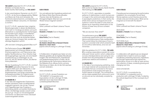#### THE AGENCY präsentiert N U R T U R Æ L Mit Arbeiten von Kanako Azuma, Sarah Doerfel, Nile Koetting und THE AGENCY

In den verschiedenen Szenarien von N U R T U R Æ L ist die Sonne allgegenwärtig. Wälder und Meere der Erde sind verwüstet, die Kontinente überschwemmt, und bekannte und unbekannte Wesen versuchen, ihr Überleben zu sichern.

N U R T U R Æ L spekuliert über mögliche Beziehungsmuster, in denen die Menschen nicht mehr im Vordergrund stehen und sucht Alternativen zu apokalyptischen Vorhersagen. Die Künstler:innen zeigen in ihrenWerken verschiedene Öko- und Sozialsysteme, in denen die Krise nicht als drohende Katastrophe am Horizont linearer Zeit, sondern als ständige Begleiterin auftritt.

"Wir sind dem Untergang geweiht.Was nun?"

#### Die Performance Gruppe THE AGENCY

experimentiert auf immersive Weise mit den Erscheinungsformen und Phänomenen des späten Neoliberalismus. Ihren Arbeiten liegt die Ausgangsfrage zugrunde, wie eine Gesellschaftsordnung zu hinterfragen ist, die sich uns, seit wir denken können, als alternativlos präsentiert.

Mit der Ausstellung N U R T U R Æ L kuratiert THE AGENCY spekulative Szenarien für eine mögliche Welt nach dem Menschen, in der kollaboratives Überleben, Aufeinander Angewiesensein und Sorge umeinander die Voraussetzung bilden für mögliche posthumane Existenz- und Beziehungsweisen.

#### L13 READER NR. 3

In der Idee des begleitenden Publizierens werden sukzessive Texte und Bildmaterial zugänglich gemacht, die mit den Themen und Fragestellungen des Projektes in Verbindung stehen und weitere Denkräume öffnen. Die Beiträge werden sowohl online als auch ge- druckt vor Ort bereitgestellt und können von Besucher\*innen individuell zusammengestellt werden.

#### SAND STORIES

Vor und während der Ausstellung widmet sich die Diskurs Reihe Sand Stories aktuellen Theorien über die Klimakrise und Klimagerechtigkeit. Was kann aus und mit der Wüste heraus imaginiert werden?

Kuratiert von Sofie Luckhardt und Sarah Johanna Theurer

09.01.2022 Elizabeth A. Povinelli [Text im Reader]

17.04.2022 Kiran Pereira [Text im Reader]

#### 10.07.2022, 17 Uhr Ida Soulard, Abinadi Meza & Bassam El Baroni: Manual for a future desert [hybrid online & analog im Lothringer 13 lokal]

In Kollaboration mit glasshouse haben wir eine Website gestaltet, die als digitales Moodboard fungiert. Hier sind Ressourcen, Inspirationen

und Gedankenexperimente zu finden, die für die Entstehung der Performance relevant sind. Die Website ist ein offenes Archiv und eine Sammlung von Ideen, die mit der Zeit wachsen und sich verändern.

www.nurturael.site

N U R T U R Æ L ist eine Produktion von THE AGENCY in Kooperation und Koproduktion mit der Lothringer 13 Halle. Gefördert durch das Kulturreferat der Landeshauptstadt München.

GLASSHOLISE

Landeshauptstadt 谕 München Kulturreferat

#### THE AGENCY presents N U R T U R Æ L With works by Kanako Azuma, Sarah Doerfel, Nile Koetting and THE AGENCY

N U R T U R Æ L speculates on possible patterns of relationships in which humans are no longer in the centre and seeks alternatives to apocalyptic predictions. In their works, the artists show various ecological and social systems in which the state of crisis does not appear as an impending catastrophe on the horizon of linear time, but as a constant companion.

"We are doomed. Now what?"

#### The performance group THE AGENCY

immersively experiments with the manifestations and phenomena of late neoliberalism. Their works follow the initial issue of how to question a societal order which presents itself as one without alternatives, since we can remember.

#### With the exhibition N U R T U RÆL, THE AGEN-

CY is curating a speculative scenario for a possible post-human world in which collaborative survival, interdependence and caring for one another form the prerequisites for potential posthuman relations and existence.

#### L13 READER NR 3

In the idea of accompanying publishing, texts and visual material will successively be made accessible that are connected to the topics and questions of the project and open up further spaces of thought. The contributions will be made available both online and in print on site and can be individually compiled by visitors.

SAND STORIES

Preceding and accompanying the performative installation, the conversation format Sand Stories explores current theories around the climate crisis and climate justice. What can be imagined out of and with the desert?

Curated by Sofie Luckhardt and Sarah Johanna Theurer

09.01.2022 Elizabeth A. Povinelli [Text im Reader]

#### 17.04.2022 Kiran Pereira [Text im Reader]

10.07.2022, 5 pm Ida Soulard, Abinadi Meza & Bassam El Baroni:

Manual for a future desert [hybrid online & analog im Lothringer 13 lokal]

In collaboration with glasshouse we designed a website that is meant to work as a digital moodboard, presenting resources, inspirations and thought-experiments that inspired the performance. Its aim is to offer an open archive and collection of ideas, constantly growing and changing over time.

www.nurturael.site

 $N U R T U R E$  L is a production by THE AGENCY in cooperation and coproduction with Lothringer 13 Halle. Funded by the cultural department of the municipal city of Munich



Landeshauptstadt München Kulturreferat

GLASSHOLISE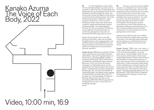



DE Um die Unfähigkeit zu überwinden. nicht-menschlichenWesen zuzuhören oder zu verstehen, erzählt *The Voice of Each Body* eine Geschichte aus der Perspektive der Sonne und des Meeres. Die Arbeit zeigt die schein- bar verstummten Körper des Meers und der Sonne und betrachtet ihre Existenzweisen. Das Video entstand auf der Boso-Halbinsel in Japan, zwischen der Bucht von Tokio und dem Pazifischen Ozean. Die auf den ersten Blick unberührt Landschaft beherbergt mehrere verlassene Militär- und Industriegebiete. Es ist ein Ort, der von exzessiver Zerstörung sowie zügelloser Entwicklung zeugt; und sowohl von geologischen also auch von menschliche Einwirkungen geformt wurde.

Kanako Azuma bemüht sich um eine Beziehung mit der Natur, indem sie mit großer Sorgfalt die Spuren der Vergangenheit in der scheinbar leeren Landschaft betrachtet und Klang versammelt, der die Grenzen zwischen natürlichen Geräuschen und menschlichen Stimmen verwischt.

Kanako Azuma (\*1991) lebt und arbeitet in Chiba, Japan. Sie erforscht verschiedene künstlerische Medien, darunter Fotografie, Musik und Performance, wobei Bewegtbild im Mittelpunkt ihrer Arbeit steht. Sie konzentriert sich auf fließende soziale Beziehungen zwischen Menschen, Flora und Fauna und die Auswirkungen von Naturphänomenen auf die Gesellschaft. Ihre Arbeiten geben der Kontemplation und Beobachtung dieser ambivalenten Beziehungen Zeit, ohne eine abschließende Lesart festzulegen. Ihre Werke wurden gezeigt im Hôtel Salomon de Rothschild, Paris, FR (kuratiert von Yuko Hasegawa); 7th Moscow Biennale, Moscow RU; und nahm an der Ausstellung "BEYOND 2020 des japanischen Fotografen #4" teil, die in Tokyo, Paris und Amsterdam gezeigt wurde.

EN Aiming to overcome human's inability to listen to or understand non-human-beings, The Voice of Each Body tells a story from the perspective of the sun and the sea. Focussing on the muted bodies of more-than-human beings like the sea and the sun, the work contemplates their mode of existence. The video was shot on the Boso Peninsula in Japan, facing Tokyo Bay and the Pacific Ocean. At first glance, the landscape may look untouched, but in fact it hosts several now abandoned military and industrial areas. It's a site of excessive destruction and rampant development. The site is shaped as much by geological as human forces.

Kanako Azuma seeks to enter into a relationship with nature by candidly observing traces of the past in the seemingly empty landscape and by creating a sound that blurs the boundaries between natural sounds and human voices.

Kanako Azuma (\*1991) lives and works in Chiba, Japan. While she explores various fields of art, including photography, music and performance, moving images remain the core of her practice. She focuses on fluid social relationships between humans, flora and fauna and the effects of natural phenomena on society. Herworks give time to contemplation and observation of these ambivalent relationships, without establishing a conclusive reading. Her works have been shown at Hôtel Salomon de Rothschild, Paris, FR (curated by Yuko Hasegawa); 7. Moskauer Biennale, Moskau RU; and participated in "BEYOND 2020 by Japanese Photographers #4" traveling to Tokyo, Paris and Amsterdam.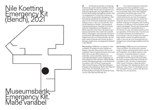## Nile Koetting Emergency Kit (Bench), 2021



DE Die Skulpturen gehören zu Koettings fortlaufender performativen Installation *Remain Calm* (seit 2019). *Remain Calm* ist inspiriert von Evakuierungsübungen, die regelmäßig an der Schule des Künstlers durchgeführt wurden. Das choreographische Protokoll der Evakuierung oder schlicht das geordnete Übergehen in Notfallzustände irgendeiner Art scheint in Resonanz mit den momentan stolpernden Zeit-Raum Gefüge zu sein, in dem wir uns befinden. Sich auf die Ästhetik von Notfall - Kits beziehend, entwickelt Koetting ein Vokabular von Formen zwischen Pragmatismus und Spielerei. Die Bänke markieren einen Raum der Spannung in Hyper[un]sicherheit. Dies macht die nutzende Person unbeweglich und positioniert sie klar als Zuschauende. Gleichzeitig erlaubt das mondäne Objekt einen Sinn von Zusammensein, der vielleicht zuletzt tröstender sein könnte, als das in Nitrogen eingefrorene und abgepackte Essbare in den Bänken.

Nile Koetting (\*1989) lebt und arbeitet in Tokio und Berlin. Er arbeitet mit einer Vielzahl von Medien, darunter Performance, Sound und Installation. Seine Projekte erforschen eine neue Wahrnehmung des Wechselspiels von materiellen und immateriellen, lebenden und nicht-lebendenWesen in einer Umgebung von technologischer Zeit und Raum. Seine Arbeiten wurden international gezeigt u.a. bei Sharjah Art Foundation, UAE; Tai Kwun Contemporary, HKG; Centre Pompidou x West Bund Museum, Shanghai, CN; Volksbühne, Berlin, DE; Palais de Tokyo, Paris, FR; Shedhalle, Zurich, CH; Kunstverein Braunschweig, DE; Somerset House, London, GB; Moscow Biennale, RU.

EN The sculptures belong to Koetting's ongoing performative installation project *Remain Calm* (since 2019). It is taking inspiration from evacuation drills, which were regularly conducted at the artist's high school. The choreographic protocol of evacuation or just orderly entering into any kind of emergency state seems to resonate with the current tumbling time-space we inhabit. Drawing on the aesthetic language of emergency kits, Koetting develops a vocabulary of forms between pragmatism and gadget. The benches demarcate a space of suspense in hyper(in)security. It immobilizes its user, and clearly positions them as a spectator. At the same time, it functions as an interface between our bodies and our surroundings. Last but not least, the mundane object allows a sense of togetherness that might, in the end, be more consoling than the nitrogen frozen and packaged edibles inside the bench.

Nile Koetting (\*1989) lives and works between Tokyo and Berlin. He works with a diverse range of media, including performance, sound, and installation. His projects explore a new perception of interplay between material – immaterial, living – non living beings in a landscape of technological time and space. His work has been presented at Sharjah Art Foundation, UAE; Tai Kwun Contemporary, HKG; Centre Pompidou x West Bund Museum, Shanghai, CN; Volksbühne, Berlin, DE; Palais de Tokyo, Paris, FR; Shedhalle, Zurich, CH; Somerset House, London, GB; Moscow Biennale, RU; among others.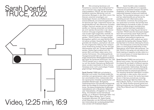## Sarah Doerfel TRUCE, 2022



DE Wie schwierig Symbiose und Parasitismus zwischen den Erdbwohner\*innen zu trennen sind, zeigt Sarah Doerfels Videoinstallation *TRUCE*, die das komplexe Verhältnis zwischen Menschen und medizinischen Blutegeln in den Blick nimmt. Die Grenzen zwischen einseitigem und beidseitigem Nutzen sind fließend wie der schmerzstillende und entzündungshemmende Speichel der Egel. Unbemerkt können die saugendenWürmer dem Menschen Schaden zufügen. Dennoch werden sie seit Jahrtausenden zur Heilung verwendet und aktuell als nicht-steriles Arzneimittel in der rekonstruktiven Chirurgie eingesetzt. InWesteuropa wurden Egel ausgerottet, weshalb sie heute in Farmen gezüchtet oder importiert werden. *TRUCE* wurde in Europas größter Blutegelfarm gefilmt und zeigt Aktivist Ryūki mit seinen privaten Haustier-Egeln. Ryūki gründete die Initiative "Leechylove", die sich für eine artgerechte Haltung nach medizinischer Anwendung einsetzt, bei der die Egel üblicherweise nach der Therapie abgetötet werden. Ryūkis Egel ernähren sich von seinem Blut und lindern dabei seine chronischen Schmerzen. Die artübergreifende Hausgemeinschaft lebt seit Jahren in einem engen körperlichen Abhängigkeitsverhältnis, das Ryūki als Symbiose bezeichnet. Der Titel *TRUCE* bezieht sich in diesem Sinne nicht nur auf die direkte Übersetzung Waffenstillstand, sondern beschreibt im Sinne Donna Haraways einen nicht unschuldigen Frieden gegenseitiger Abhängigkeit.

Sarah Doerfel (\*1986) lebt und arbeitet in München und London. Ihre Arbeit erzählt Geschichten vom gemeinsamen Leben und Sterben verschiedener Arten, insbesondere über den dynamischen Charakter symbiotischer und parasitärer Beziehungen. Biologische, medizinhistorische und kulturelle Hintergründe bilden die Grundlage für körperliche Spekulationen. Die daraus entstehenden Erzählungen materialisieren sich in Skulpturen, Malereien oder Videoarbeiten, oft begleitet von Text oder Klang . Ihre Arbeiten wurde international gezeigt, u.a. im Museum Hamburger Bahn- hof, Berlin, DE; Macro Museo, Rom, IT und im Kunstverein München, DE. Sarah Doerfel erhielt Stipendien von der Stiftung Kunstfonds, dem Kulturreferat der Landeshauptstadt München und der LfA Förderbank Bayern.

EN Sarah Doerfel's video installation *TRUCE* shows how difficult it is to separate symbiosis and parasitism between the earth's inhabitants, on the example of the complex relationship between humans and medicinal leeches. The boundaries between one-si- ded and two-sided benefits are as fluid as the painkilling and anti-inflammatory saliva of the leeches. Unnoticed, the sucking worm can cause harm to humans. And yet they have aided healing for thousands of years, for example as non-sterile drugs in reconstructive surgery. Leeches have been eradicated in Western Europe, so today they are farmed or imported. *TRUCE* was shot at Europe's largest leech farm and shows owner Ryūki with his private pet leeches. Ryūki founded the initiative "Leechylove", advocating for species-appropriate husbandry after medical use, which usually kills the leeches after therapy. Ryūki's leeches feed on his blood, relieving his chronic pain. The interspecies community has lived for years in a close physical relationship of interdependence, which Ryūki calls symbiosis. The title *TRUCE* in this sense not only refers to the literal meaning of ceasefire, but also refers to a non-innocent peace of mutual dependence as described by Donna Haraway.

Sarah Doerfel (\*1986) lives and works in Munich and London. Her work tells stories of the shared life and death of different species, in particular of the dynamic character of symbiotic and parasitic relationships. Biological, medical-historical and cultural backgrounds provide the base for physical speculations. The resulting narratives materialize in sculptures, paintings or video works, often accompanied by text or sound. Her works have been shown in Germany and abroad, including Museum Hamburger Bahnhof, Berlin, DE; Macro Museo, Rome, IT and Kunstverein Munich, DE. Sarah Doerfel received grants from Stiftung Kunstfonds, the Cultural Department of the City of Munich and LfA Förderbank Bayern.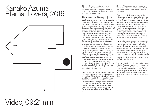## Kanako Azuma Eternal Lovers, 2016



DE .lch habe eine Sehnsucht nach Welten und Beziehungen, die über die von Menschen definierten Kategorien hinausgehen. *Eternal Lovers* ist eine Geschichte über solche fluiden Beziehungen."

*Eternal Lovers* beschäftigt sich mit der Beziehung zwischen Pflanzen und Menschen und den durchlässigen Ideen des Künstlichen und Natürlichen. Das Video ist aus verschiedenen Sequenzen zusammengesetzt, die im Botanischen Garten Makino und in verschiedenen Orchideen Zuchtbetrieben gefilmt wurden. Auf eine fast unbeteiligte, ruhige Weise dokumentiert die Kamera die industrielle Herstellung dessen ein, was Menschen als "Schönheit der Natur" wahrnehmen – in Form von gezüchteten, sterilen Orchideen. Der dichte Klangteppich des Videos speist sich aus der Stimme der Künstlerin, Atem- und Umweltgeräuschen und erinnert an schlagende Insektenflügeln und aneinander reibende Blätter. "Manchmal hatte ich ein starkes Gefühl des Eingeschlossenseins. Zu dieser Zeit begann ich, in den botanischen Garten zu gehen. Hier existieren von Menschenhand gesammelte Pflanzen in einer sorgfältig gestalteten Umgebung; ich interessierte mich für das Machtverhältnis zwischen diesen Pflanzen und den menschlichen Pfleger:innen. Im Gewächshaus [...] verlor ich, vielleicht wegen der hohen Luftfeuchtigkeit, die Konturen meines Körpers und hatte das Gefühl, mit meiner Umgebung zu verschmelzen. Das war eine Art Erleichterung für mich zu dieser Zeit."

Der Titel *Eternal Lovers* ist inspiriert von den Schriften des japanischen Botanikers Tomitaro Makino. Dieser beschrieb, wie "Pflanzen und Bäume ihn zärtlich, wie ewige Liebende, anlächeln". Das Video wechselt die Perspektive und etabliert ein weniger menschlich-zentriertes Sensorium. Dabei findet Azuma die gleiche Faszination in der erotischen Verstrickung der Menschen, die als Mittler:innen der Fortpflanzung und Kreuzung von Pflanzen agieren.

EN "I have a yearning forworlds and relationships that transcend human-defined categories. *Eternal Lovers* is a story of fluid relationships."

*Eternal Lovers* deals with the relationship between plants and humans and the permeable concepts of the artificial and the natural. The work is composed of sequences filmed at the Makino Botanical Garden and different orchid cultivation sites. The camera calmly captures the industrial manufacturing of what humans perceive as "nature's beauty" in the form of classified and sterilized orchids. The dense soundscape is a mixture of the artist's voice, breathing sounds, and field recordings. It resembles the noise of insect wings beating and leaves rubbing against each other.

"I used to feel a strong sense of entrapment. It was around that time that I started going to the botanical garden. Here, plants gathered by human hand exist in a delicately engineered environment, and I was interested in the power relationship between those plants and the human caretakers. In the greenhouse […], perhaps because of the high humidity, I lost the contours of my body and felt as if I were merging with my surroundings. It was a kind of relief for me at that time."

The title is inspired by the words of Japanese botanist Tomitaro Makino who reportedly felt plants and trees smile [at him] tenderly as eternal lovers'. The video switches perspective, estabilshing a less human-centric sensorium, and finds the same fascination in humans erotic engangement as mediators of interbreeding.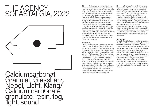## THE AGENCY SOLASTALGIA, 2022



DE .Solastalgia" ist ein Kunstwort aus Trost (sōlācium, solace) und -algia (Schmerz, Leid, Trauer) mit Anklängen an das Wort "Nostalgie". Nach Glenn Albrecht ist Solastalgia ....a form of homesickness one gets when one is still at home". DasWort beschreibt das melancholische Gefühl von Menschen, deren Umwelt sich aufgrund der globalen Erwärmung so stark verändert, dass es kaum noch als Zuhause wiederzuerkennen ist. In der Installation *SOLASTALGIA* treffen die Besucher:innen auf eine wüstenartige Landschaft aus Calciumcarbonat, die den Nährboden für Assoziationen einer post-apokalyptischen Erde oder einer Mondlandschaft bildet. Hier ist mitunter zu hören, wie sich der Stein, die Sonne, der Nebel und uns noch unbekannte Fossilien die Geschichten des Ablebens der Menschheit erzählen.

#### PERFORMANCE

Wenn THE AGENCY die Installation aktiviert, wird *SOLASTALGIA* zum Spiel: "Welcome to the end of yourworld" - Eine Simulation, in der drei Avatare den Abschied von der Welt, wie wir Menschen sie kennen, durchspielen - und sich eine Welt nach dem Menschen imaginieren. Game Supervisor "Nature" leitet sie durch verschiedene Level von Abwehr bis Akzeptanz, immer zwischen der Hoffnung noch etwas tun zu können und der Versuchung, sich einem fröhlich-nihilistischen "Let's enjoy our endings together" hinzugeben. Auf der Suche nach Einsichten, Auswegen und tröstenden Erzählungen stellen die drei Avatare sich schließlich der Metamorphose. Das Publikum ist eingeladen, das Spiel zu betrachten.

EN .Solastalgia" is a neologism originating from consolation (sōlācium, solace) and algia (pain, sorrow, grief) with echoes of the word "nostalgia". According to Glenn Albrecht, solastalgia is ....a form of homesickness one gets when one is still at home." The word describes the melancholic feeling of people whose environment changes so much due to global warming, that it is hardly recognizable as home. In the installation *SOLASTALGIA*, visitors encounter a desert-like landscape of calcium carbonate, which provides fertile ground for associations of a post-apocalyptic earth or a lunar landscape. Here, one can hear how the stone, the sun, the fog and yet unknown fossils tell the stories of the demise of humankind.

#### **PERFORMANCE**

When THE AGENCY activates the installation, *SOLASTALGIA* turns into a game: "Welcome to the end of yourworld". A simulation in which three avatars act out the farewell to the world as we humans know it– and imagine a world after human beings. Game supervisor "Nature" guides them through various levels, from resistance to acceptance, always ranging between the hope of still being able to do something and the temptation to indulge in a cheerfully nihilistic "Let's enjoy our endings together". Searching for insights, exit strategies and comforting narratives, the three avatars finally face the metamorphosis. The audience is invited to observe.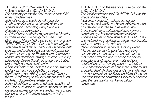THE AGENCY zur Verwendung von Calciumcarbonat in SOLASTALGIA*: Die erste Inspiration für die Arbeit war das Bild eines Sandsturmes. Schnell wurde uns jedoch während der*

*Recherche klar, dass es ökologisch weder sinnvoll noch nachhaltig wäre, Sand als Ressource zu verwenden.*

*Auf der Suche nach einem passenden Material wurden wir durch einen glücklichen Zufall überrascht: Martin Thönnes, Vater von Yana von THE AGENCY, ist Chemiker und beschäftigte sich gerade mit Calciumcarbonat. Dabei handelt sich um ein Abfallprodukt aus dem Prozess der Dekarbonisierung zurTrinkwasseraufbereitung. Martin war damit beauftragt, sich eine Recycling Lösung für diesen "Abfall" auszudenken. Dabei ergab sich, dass das Material auf landwirtschaftlichen Feldern Böden neutralisiert und anreichert, was schließlich zu einer Zertifizierung des Abfallproduktes als Dünger führte.Wir lernten, dass Calciumcarbonat auch in Perlen, Schalentierskeletten und Schneckenhäusern vorkommt und es außerhalb der Erde auch auf dem Mars zu finden ist. Als wir diese Zusammenhänge verstanden, war schnell klar, dass wir mit Calciumcarbonat arbeiten wollen.*

THE AGENCY on the use of calcium carbonate in SOLASTALGIA:

*The initial inspiration for SOLASTALGIA was the image of a sandstorm.*

*However, we quickly realized during our research that it would not be ecologically sound or sustainable to use sand as a resource. In our search for a suitable material, we were surprised by a happy coincidence: Martin Thönnes, father ofYana from THE AGENCY, is a chemist and was working on calcium carbonate, which emerges in the process of decarbonization to generate drinking water. Martin had the taskto develop a recycling solution forthis 'waste'. It turned out that the material neutralized and enriched the soil on agricultural land, which eventually led to a certification ofthe 'waste product' as fertilizer. We learned that calcium carbonate is also found in pearls, shellfish skeletons and snail shells and even occurs outside of Earth, on Mars. Once we understood these correlations, it quickly became clearthat we want to work with calcium carbonate.*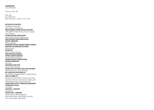#### **PERFORMANCES**

SOLASTALGIA

Premiere 23.6. 18h

24.6. 18h, 25. & 26.6. 16h 29.6. & 30.6. & 1.7. 18h 2.7. & 3.7. 16h

VON UND MIT|BY AND WITH Challenge Gumbodete, Kate Strong, Liina Magnea KÜNSTLERISCHE LEITUNG|ARTISTIC DIRECTION THE AGENCY Belle Santos, Sofie Luckhardt, Yana Thönnes KLANGGESTALTUNG|SOUND DESIGN Nile Koetting, Nozomu Matsumoto KÜNSTLERISCHE PRODUKTIONSLEITUNG| ARTISTIC PRODUCTION Sofie Luckhardt TECHNISCHE LEITUNG, MITARBEIT BÜHNE|TECHNICAL DIRECTION, COLLABORATION SET DESIGN Amina Nouns OUTSIDE EYE Sarah Johanna Theurer KÜNSTLERISCHE MITARBEIT| SUPPORT ARTISTIC DIRECTION Veronika Müller-Hauszer SZENOGRAPHISCHE UNTERSTÜTZUNG| SUPPORT SCENOGRAPHY Nevo Bar SPRECHERIN|VOICE OVER Mona Vojacek-Kooper TECHNIK LICHT UND SOUND|TECH LIGHT AND SOUND Martin Siemann, Joannis Murböck MIT ZITATEN VON WITH QUOTES BY Abinadi Meza, Maggie Nelson, Timothy Morton DANK AN | THANKS TO glasshouse, Hans Martin Thönnes, Lea Hopp, Lars Keke-Altemann, Franziska Liza König, den Aufbauhelfer:innen, [Calciumcarbonat] PRODUKTIONSLEITUNG |PRODUCTION MANAGEMENT LOTHRINGER13 HALLE Luzi Gross ASSISTENZ | ASSISTANT Lola Mousli VERMITTLUNG | MEDIATION Susanne Beck, Maria Margolina, Anna Pasco Bolta, Julia Richter, Eunji Seo, Theo Thönnessen, Jakob Weiß